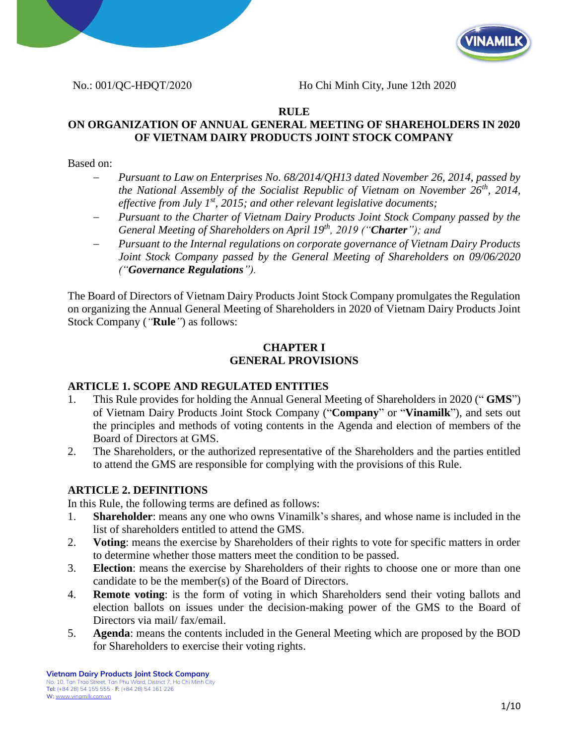



No.: 001/QC-HĐQT/2020 Ho Chi Minh City, June 12th 2020

### **RULE**

## **ON ORGANIZATION OF ANNUAL GENERAL MEETING OF SHAREHOLDERS IN 2020 OF VIETNAM DAIRY PRODUCTS JOINT STOCK COMPANY**

#### Based on:

- − *Pursuant to Law on Enterprises No. 68/2014/QH13 dated November 26, 2014, passed by the National Assembly of the Socialist Republic of Vietnam on November 26th, 2014, effective from July 1st, 2015; and other relevant legislative documents;*
- − *Pursuant to the Charter of Vietnam Dairy Products Joint Stock Company passed by the General Meeting of Shareholders on April 19th, 2019 ("Charter"); and*
- − *Pursuant to the Internal regulations on corporate governance of Vietnam Dairy Products Joint Stock Company passed by the General Meeting of Shareholders on 09/06/2020 ("Governance Regulations").*

The Board of Directors of Vietnam Dairy Products Joint Stock Company promulgates the Regulation on organizing the Annual General Meeting of Shareholders in 2020 of Vietnam Dairy Products Joint Stock Company (*"***Rule***"*) as follows:

### **CHAPTER I GENERAL PROVISIONS**

## **ARTICLE 1. SCOPE AND REGULATED ENTITIES**

- 1. This Rule provides for holding the Annual General Meeting of Shareholders in 2020 (" **GMS**") of Vietnam Dairy Products Joint Stock Company ("**Company**" or "**Vinamilk**"), and sets out the principles and methods of voting contents in the Agenda and election of members of the Board of Directors at GMS.
- 2. The Shareholders, or the authorized representative of the Shareholders and the parties entitled to attend the GMS are responsible for complying with the provisions of this Rule.

## **ARTICLE 2. DEFINITIONS**

In this Rule, the following terms are defined as follows:

- 1. **Shareholder**: means any one who owns Vinamilk's shares, and whose name is included in the list of shareholders entitled to attend the GMS.
- 2. **Voting**: means the exercise by Shareholders of their rights to vote for specific matters in order to determine whether those matters meet the condition to be passed.
- 3. **Election**: means the exercise by Shareholders of their rights to choose one or more than one candidate to be the member(s) of the Board of Directors.
- 4. **Remote voting**: is the form of voting in which Shareholders send their voting ballots and election ballots on issues under the decision-making power of the GMS to the Board of Directors via mail/ fax/email.
- 5. **Agenda**: means the contents included in the General Meeting which are proposed by the BOD for Shareholders to exercise their voting rights.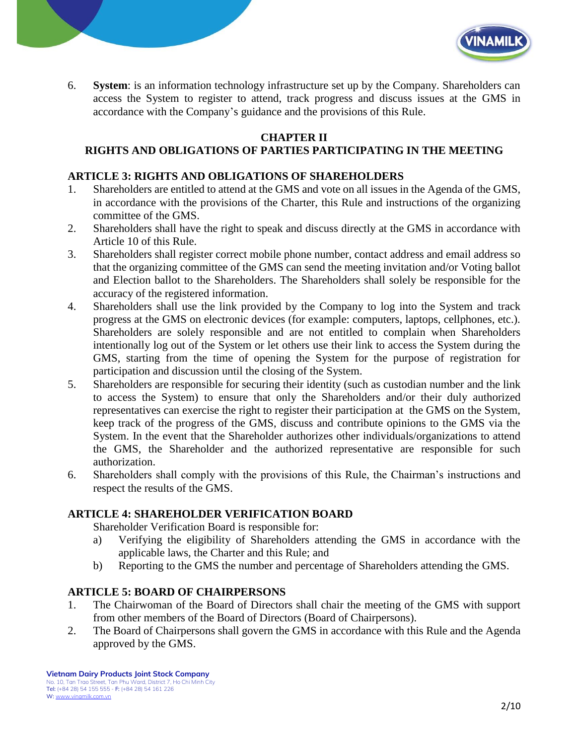

6. **System**: is an information technology infrastructure set up by the Company. Shareholders can access the System to register to attend, track progress and discuss issues at the GMS in accordance with the Company's guidance and the provisions of this Rule.

# **CHAPTER II**

# **RIGHTS AND OBLIGATIONS OF PARTIES PARTICIPATING IN THE MEETING**

#### **ARTICLE 3: RIGHTS AND OBLIGATIONS OF SHAREHOLDERS**

- 1. Shareholders are entitled to attend at the GMS and vote on all issues in the Agenda of the GMS, in accordance with the provisions of the Charter, this Rule and instructions of the organizing committee of the GMS.
- 2. Shareholders shall have the right to speak and discuss directly at the GMS in accordance with Article 10 of this Rule.
- 3. Shareholders shall register correct mobile phone number, contact address and email address so that the organizing committee of the GMS can send the meeting invitation and/or Voting ballot and Election ballot to the Shareholders. The Shareholders shall solely be responsible for the accuracy of the registered information.
- 4. Shareholders shall use the link provided by the Company to log into the System and track progress at the GMS on electronic devices (for example: computers, laptops, cellphones, etc.). Shareholders are solely responsible and are not entitled to complain when Shareholders intentionally log out of the System or let others use their link to access the System during the GMS, starting from the time of opening the System for the purpose of registration for participation and discussion until the closing of the System.
- 5. Shareholders are responsible for securing their identity (such as custodian number and the link to access the System) to ensure that only the Shareholders and/or their duly authorized representatives can exercise the right to register their participation at the GMS on the System, keep track of the progress of the GMS, discuss and contribute opinions to the GMS via the System. In the event that the Shareholder authorizes other individuals/organizations to attend the GMS, the Shareholder and the authorized representative are responsible for such authorization.
- 6. Shareholders shall comply with the provisions of this Rule, the Chairman's instructions and respect the results of the GMS.

#### **ARTICLE 4: SHAREHOLDER VERIFICATION BOARD**

Shareholder Verification Board is responsible for:

- a) Verifying the eligibility of Shareholders attending the GMS in accordance with the applicable laws, the Charter and this Rule; and
- b) Reporting to the GMS the number and percentage of Shareholders attending the GMS.

#### **ARTICLE 5: BOARD OF CHAIRPERSONS**

- 1. The Chairwoman of the Board of Directors shall chair the meeting of the GMS with support from other members of the Board of Directors (Board of Chairpersons).
- 2. The Board of Chairpersons shall govern the GMS in accordance with this Rule and the Agenda approved by the GMS.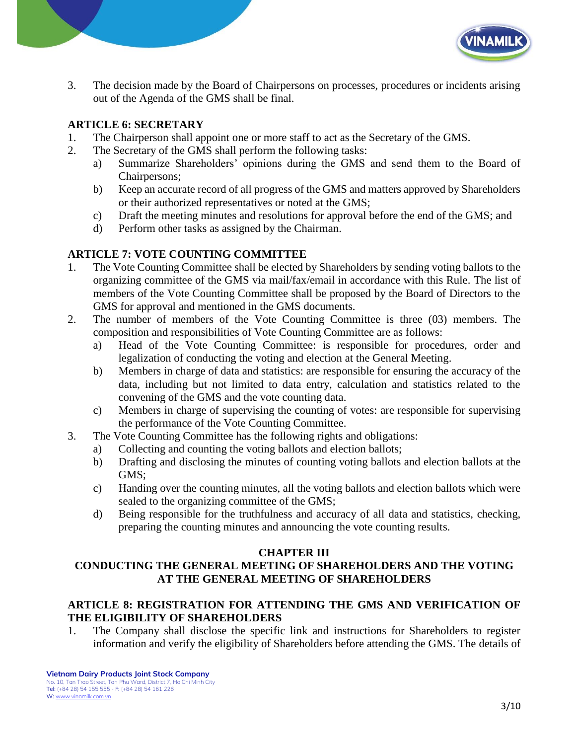

3. The decision made by the Board of Chairpersons on processes, procedures or incidents arising out of the Agenda of the GMS shall be final.

## **ARTICLE 6: SECRETARY**

- 1. The Chairperson shall appoint one or more staff to act as the Secretary of the GMS.
- 2. The Secretary of the GMS shall perform the following tasks:
	- a) Summarize Shareholders' opinions during the GMS and send them to the Board of Chairpersons;
	- b) Keep an accurate record of all progress of the GMS and matters approved by Shareholders or their authorized representatives or noted at the GMS;
	- c) Draft the meeting minutes and resolutions for approval before the end of the GMS; and
	- d) Perform other tasks as assigned by the Chairman.

## **ARTICLE 7: VOTE COUNTING COMMITTEE**

- 1. The Vote Counting Committee shall be elected by Shareholders by sending voting ballots to the organizing committee of the GMS via mail/fax/email in accordance with this Rule. The list of members of the Vote Counting Committee shall be proposed by the Board of Directors to the GMS for approval and mentioned in the GMS documents.
- 2. The number of members of the Vote Counting Committee is three (03) members. The composition and responsibilities of Vote Counting Committee are as follows:
	- a) Head of the Vote Counting Committee: is responsible for procedures, order and legalization of conducting the voting and election at the General Meeting.
	- b) Members in charge of data and statistics: are responsible for ensuring the accuracy of the data, including but not limited to data entry, calculation and statistics related to the convening of the GMS and the vote counting data.
	- c) Members in charge of supervising the counting of votes: are responsible for supervising the performance of the Vote Counting Committee.
- 3. The Vote Counting Committee has the following rights and obligations:
	- a) Collecting and counting the voting ballots and election ballots;
	- b) Drafting and disclosing the minutes of counting voting ballots and election ballots at the GMS;
	- c) Handing over the counting minutes, all the voting ballots and election ballots which were sealed to the organizing committee of the GMS;
	- d) Being responsible for the truthfulness and accuracy of all data and statistics, checking, preparing the counting minutes and announcing the vote counting results.

## **CHAPTER III**

# **CONDUCTING THE GENERAL MEETING OF SHAREHOLDERS AND THE VOTING AT THE GENERAL MEETING OF SHAREHOLDERS**

## **ARTICLE 8: REGISTRATION FOR ATTENDING THE GMS AND VERIFICATION OF THE ELIGIBILITY OF SHAREHOLDERS**

1. The Company shall disclose the specific link and instructions for Shareholders to register information and verify the eligibility of Shareholders before attending the GMS. The details of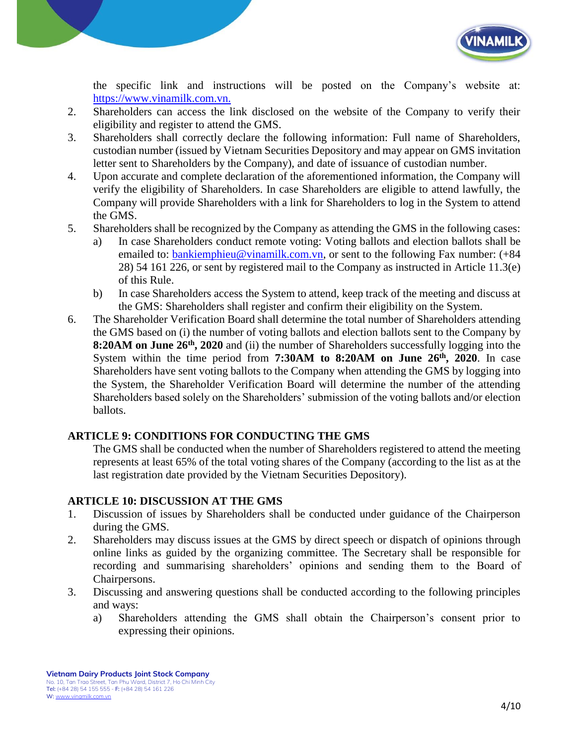

the specific link and instructions will be posted on the Company's website at: [https://www.vinamilk.com.vn.](https://www.vinamilk.com.vn./)

- 2. Shareholders can access the link disclosed on the website of the Company to verify their eligibility and register to attend the GMS.
- 3. Shareholders shall correctly declare the following information: Full name of Shareholders, custodian number (issued by Vietnam Securities Depository and may appear on GMS invitation letter sent to Shareholders by the Company), and date of issuance of custodian number.
- 4. Upon accurate and complete declaration of the aforementioned information, the Company will verify the eligibility of Shareholders. In case Shareholders are eligible to attend lawfully, the Company will provide Shareholders with a link for Shareholders to log in the System to attend the GMS.
- 5. Shareholders shall be recognized by the Company as attending the GMS in the following cases:
	- a) In case Shareholders conduct remote voting: Voting ballots and election ballots shall be emailed to: [bankiemphieu@vinamilk.com.vn,](mailto:bankiemphieu@vinamilk.com.vn) or sent to the following Fax number: (+84 28) 54 161 226, or sent by registered mail to the Company as instructed in Article 11.3(e) of this Rule.
	- b) In case Shareholders access the System to attend, keep track of the meeting and discuss at the GMS: Shareholders shall register and confirm their eligibility on the System.
- 6. The Shareholder Verification Board shall determine the total number of Shareholders attending the GMS based on (i) the number of voting ballots and election ballots sent to the Company by **8:20AM on June 26<sup>th</sup>, 2020** and (ii) the number of Shareholders successfully logging into the System within the time period from **7:30AM to 8:20AM on June 26th, 2020**. In case Shareholders have sent voting ballots to the Company when attending the GMS by logging into the System, the Shareholder Verification Board will determine the number of the attending Shareholders based solely on the Shareholders' submission of the voting ballots and/or election ballots.

## **ARTICLE 9: CONDITIONS FOR CONDUCTING THE GMS**

The GMS shall be conducted when the number of Shareholders registered to attend the meeting represents at least 65% of the total voting shares of the Company (according to the list as at the last registration date provided by the Vietnam Securities Depository).

## **ARTICLE 10: DISCUSSION AT THE GMS**

- 1. Discussion of issues by Shareholders shall be conducted under guidance of the Chairperson during the GMS.
- 2. Shareholders may discuss issues at the GMS by direct speech or dispatch of opinions through online links as guided by the organizing committee. The Secretary shall be responsible for recording and summarising shareholders' opinions and sending them to the Board of Chairpersons.
- 3. Discussing and answering questions shall be conducted according to the following principles and ways:
	- a) Shareholders attending the GMS shall obtain the Chairperson's consent prior to expressing their opinions.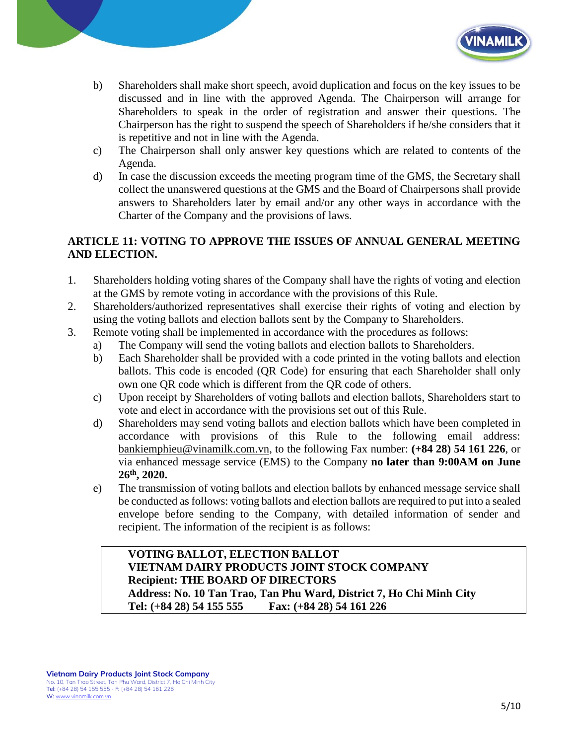

- b) Shareholders shall make short speech, avoid duplication and focus on the key issues to be discussed and in line with the approved Agenda. The Chairperson will arrange for Shareholders to speak in the order of registration and answer their questions. The Chairperson has the right to suspend the speech of Shareholders if he/she considers that it is repetitive and not in line with the Agenda.
- c) The Chairperson shall only answer key questions which are related to contents of the Agenda.
- d) In case the discussion exceeds the meeting program time of the GMS, the Secretary shall collect the unanswered questions at the GMS and the Board of Chairpersons shall provide answers to Shareholders later by email and/or any other ways in accordance with the Charter of the Company and the provisions of laws.

# **ARTICLE 11: VOTING TO APPROVE THE ISSUES OF ANNUAL GENERAL MEETING AND ELECTION.**

- 1. Shareholders holding voting shares of the Company shall have the rights of voting and election at the GMS by remote voting in accordance with the provisions of this Rule.
- 2. Shareholders/authorized representatives shall exercise their rights of voting and election by using the voting ballots and election ballots sent by the Company to Shareholders.
- 3. Remote voting shall be implemented in accordance with the procedures as follows:
	- a) The Company will send the voting ballots and election ballots to Shareholders.
	- b) Each Shareholder shall be provided with a code printed in the voting ballots and election ballots. This code is encoded (QR Code) for ensuring that each Shareholder shall only own one QR code which is different from the QR code of others.
	- c) Upon receipt by Shareholders of voting ballots and election ballots, Shareholders start to vote and elect in accordance with the provisions set out of this Rule.
	- d) Shareholders may send voting ballots and election ballots which have been completed in accordance with provisions of this Rule to the following email address: [bankiemphieu@vinamilk.com.vn,](mailto:bankiemphieu@vinamilk.com.vn) to the following Fax number: **(+84 28) 54 161 226**, or via enhanced message service (EMS) to the Company **no later than 9:00AM on June 26th, 2020.**
	- e) The transmission of voting ballots and election ballots by enhanced message service shall be conducted as follows: voting ballots and election ballots are required to put into a sealed envelope before sending to the Company, with detailed information of sender and recipient. The information of the recipient is as follows:

### **VOTING BALLOT, ELECTION BALLOT VIETNAM DAIRY PRODUCTS JOINT STOCK COMPANY Recipient: THE BOARD OF DIRECTORS Address: No. 10 Tan Trao, Tan Phu Ward, District 7, Ho Chi Minh City Tel: (+84 28) 54 155 555 Fax: (+84 28) 54 161 226**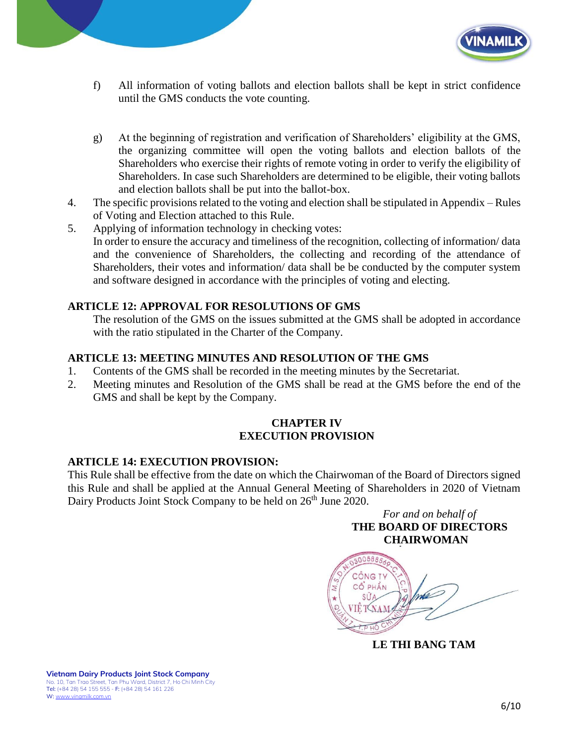

- f) All information of voting ballots and election ballots shall be kept in strict confidence until the GMS conducts the vote counting.
- g) At the beginning of registration and verification of Shareholders' eligibility at the GMS, the organizing committee will open the voting ballots and election ballots of the Shareholders who exercise their rights of remote voting in order to verify the eligibility of Shareholders. In case such Shareholders are determined to be eligible, their voting ballots and election ballots shall be put into the ballot-box.
- 4. The specific provisions related to the voting and election shall be stipulated in Appendix Rules of Voting and Election attached to this Rule.
- 5. Applying of information technology in checking votes: In order to ensure the accuracy and timeliness of the recognition, collecting of information/ data and the convenience of Shareholders, the collecting and recording of the attendance of Shareholders, their votes and information/ data shall be be conducted by the computer system and software designed in accordance with the principles of voting and electing.

# **ARTICLE 12: APPROVAL FOR RESOLUTIONS OF GMS**

The resolution of the GMS on the issues submitted at the GMS shall be adopted in accordance with the ratio stipulated in the Charter of the Company.

## **ARTICLE 13: MEETING MINUTES AND RESOLUTION OF THE GMS**

- 1. Contents of the GMS shall be recorded in the meeting minutes by the Secretariat.
- 2. Meeting minutes and Resolution of the GMS shall be read at the GMS before the end of the GMS and shall be kept by the Company.

### **CHAPTER IV EXECUTION PROVISION**

## **ARTICLE 14: EXECUTION PROVISION:**

This Rule shall be effective from the date on which the Chairwoman of the Board of Directors signed this Rule and shall be applied at the Annual General Meeting of Shareholders in 2020 of Vietnam Dairy Products Joint Stock Company to be held on 26<sup>th</sup> June 2020.





**LE THI BANG TAM**

**Vietnam Dairy Products Joint Stock Company** No. 10, Tan Trao Street, Tan Phu Ward, District 7, Ho Chi Minh City Tel: (+84 28) 54 155 555 - F: (+84 28) 54 161 226 W: [www.vinamilk.com.vn](http://www.vinamilk.com.vn/)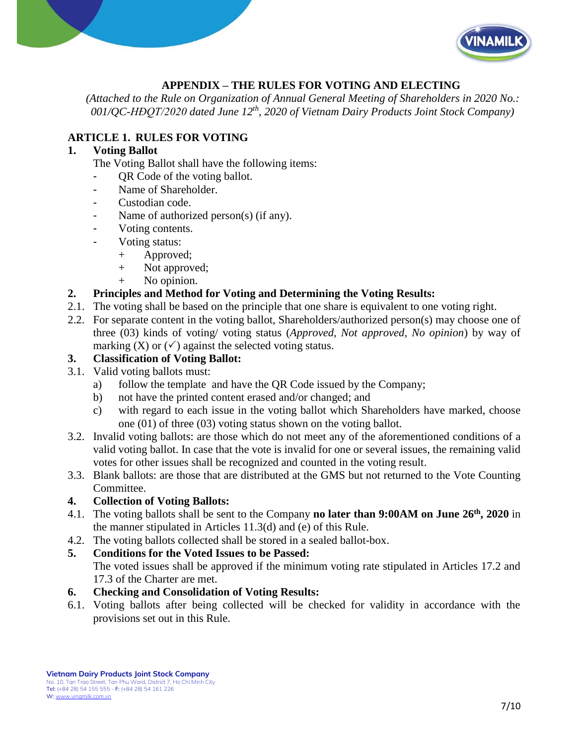



# **APPENDIX – THE RULES FOR VOTING AND ELECTING**

*(Attached to the Rule on Organization of Annual General Meeting of Shareholders in 2020 No.: 001/QC-HĐQT/2020 dated June 12th, 2020 of Vietnam Dairy Products Joint Stock Company)*

## **ARTICLE 1. RULES FOR VOTING**

## **1. Voting Ballot**

The Voting Ballot shall have the following items:

- OR Code of the voting ballot.
- Name of Shareholder.
- Custodian code.
- Name of authorized person(s) (if any).
- Voting contents.
- Voting status:
	- + Approved;
	- + Not approved;
	- + No opinion.

## **2. Principles and Method for Voting and Determining the Voting Results:**

- 2.1. The voting shall be based on the principle that one share is equivalent to one voting right.
- 2.2. For separate content in the voting ballot, Shareholders/authorized person(s) may choose one of three (03) kinds of voting/ voting status (*Approved, Not approved, No opinion*) by way of marking  $(X)$  or  $(\checkmark)$  against the selected voting status.

## **3. Classification of Voting Ballot:**

- 3.1. Valid voting ballots must:
	- a) follow the template and have the QR Code issued by the Company;
	- b) not have the printed content erased and/or changed; and
	- c) with regard to each issue in the voting ballot which Shareholders have marked, choose one (01) of three (03) voting status shown on the voting ballot.
- 3.2. Invalid voting ballots: are those which do not meet any of the aforementioned conditions of a valid voting ballot. In case that the vote is invalid for one or several issues, the remaining valid votes for other issues shall be recognized and counted in the voting result.
- 3.3. Blank ballots: are those that are distributed at the GMS but not returned to the Vote Counting Committee.

## **4. Collection of Voting Ballots:**

- 4.1. The voting ballots shall be sent to the Company **no later than 9:00AM on June 26th , 2020** in the manner stipulated in Articles 11.3(d) and (e) of this Rule.
- 4.2. The voting ballots collected shall be stored in a sealed ballot-box.
- **5. Conditions for the Voted Issues to be Passed:**

The voted issues shall be approved if the minimum voting rate stipulated in Articles 17.2 and 17.3 of the Charter are met.

## **6. Checking and Consolidation of Voting Results:**

6.1. Voting ballots after being collected will be checked for validity in accordance with the provisions set out in this Rule.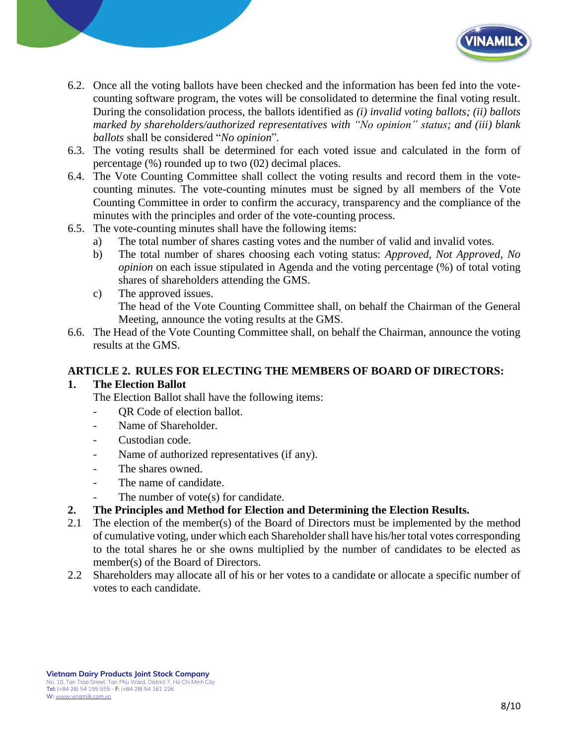

- 6.2. Once all the voting ballots have been checked and the information has been fed into the votecounting software program, the votes will be consolidated to determine the final voting result. During the consolidation process, the ballots identified as *(i) invalid voting ballots; (ii) ballots marked by shareholders/authorized representatives with "No opinion" status; and (iii) blank ballots* shall be considered "*No opinion*"*.*
- 6.3. The voting results shall be determined for each voted issue and calculated in the form of percentage (%) rounded up to two (02) decimal places.
- 6.4. The Vote Counting Committee shall collect the voting results and record them in the votecounting minutes. The vote-counting minutes must be signed by all members of the Vote Counting Committee in order to confirm the accuracy, transparency and the compliance of the minutes with the principles and order of the vote-counting process.
- 6.5. The vote-counting minutes shall have the following items:
	- a) The total number of shares casting votes and the number of valid and invalid votes.
	- b) The total number of shares choosing each voting status: *Approved, Not Approved, No opinion* on each issue stipulated in Agenda and the voting percentage (%) of total voting shares of shareholders attending the GMS.
	- c) The approved issues. The head of the Vote Counting Committee shall, on behalf the Chairman of the General Meeting, announce the voting results at the GMS.
- 6.6. The Head of the Vote Counting Committee shall, on behalf the Chairman, announce the voting results at the GMS.

## **ARTICLE 2. RULES FOR ELECTING THE MEMBERS OF BOARD OF DIRECTORS:**

#### **1. The Election Ballot**

The Election Ballot shall have the following items:

- QR Code of election ballot.
- Name of Shareholder.
- Custodian code.
- Name of authorized representatives (if any).
- The shares owned.
- The name of candidate.
	- The number of vote(s) for candidate.
- **2. The Principles and Method for Election and Determining the Election Results.**
- 2.1 The election of the member(s) of the Board of Directors must be implemented by the method of cumulative voting, under which each Shareholder shall have his/her total votes corresponding to the total shares he or she owns multiplied by the number of candidates to be elected as member(s) of the Board of Directors.
- 2.2 Shareholders may allocate all of his or her votes to a candidate or allocate a specific number of votes to each candidate.